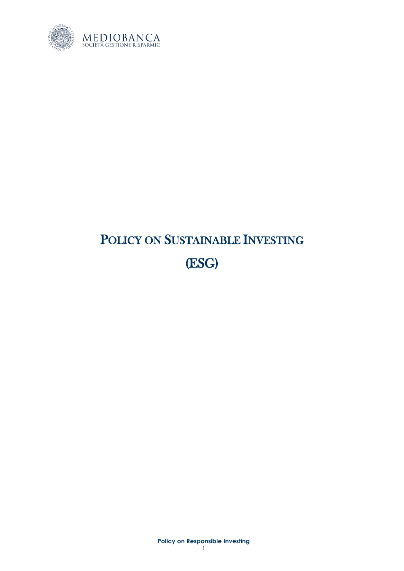

# POLICY ON SUSTAINABLE INVESTING (ESG)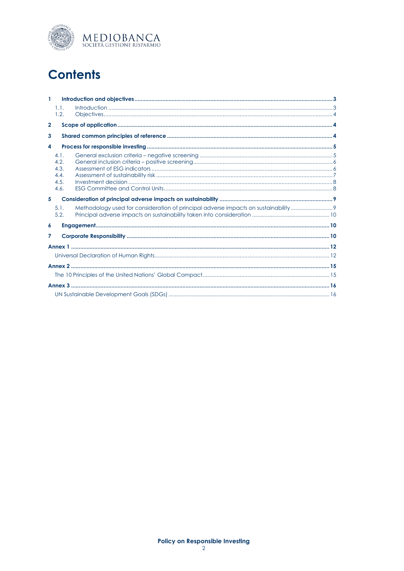

## **Contents**

| $\mathbf{1}$     |      |                                                                                   |  |  |
|------------------|------|-----------------------------------------------------------------------------------|--|--|
|                  | 1.1. |                                                                                   |  |  |
|                  | 1.2. |                                                                                   |  |  |
| $\overline{2}$   |      |                                                                                   |  |  |
| 3                |      |                                                                                   |  |  |
| $\boldsymbol{4}$ |      |                                                                                   |  |  |
|                  | 4.1. |                                                                                   |  |  |
|                  | 4.2. |                                                                                   |  |  |
|                  | 4.3. |                                                                                   |  |  |
|                  | 4.4. |                                                                                   |  |  |
|                  | 4.5. |                                                                                   |  |  |
|                  | 4.6. |                                                                                   |  |  |
| 5                |      |                                                                                   |  |  |
|                  | 5.1. | Methodology used for consideration of principal adverse impacts on sustainability |  |  |
|                  | 5.2. |                                                                                   |  |  |
| $\boldsymbol{6}$ |      |                                                                                   |  |  |
| 7                |      |                                                                                   |  |  |
|                  |      |                                                                                   |  |  |
|                  |      |                                                                                   |  |  |
|                  |      |                                                                                   |  |  |
|                  |      |                                                                                   |  |  |
|                  |      |                                                                                   |  |  |
|                  |      |                                                                                   |  |  |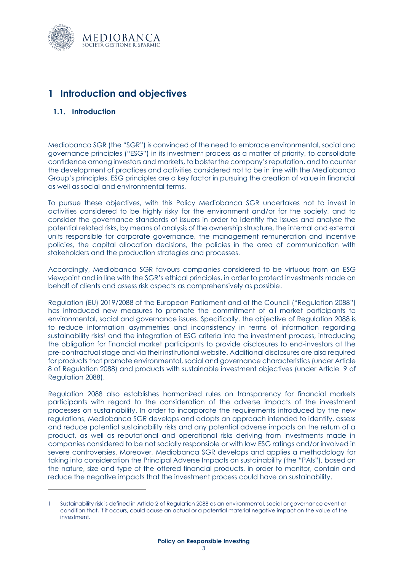

## <span id="page-2-0"></span>**1 Introduction and objectives**

#### <span id="page-2-1"></span>**1.1. Introduction**

Mediobanca SGR (the "SGR") is convinced of the need to embrace environmental, social and governance principles ("ESG") in its investment process as a matter of priority, to consolidate confidence among investors and markets, to bolster the company's reputation, and to counter the development of practices and activities considered not to be in line with the Mediobanca Group's principles. ESG principles are a key factor in pursuing the creation of value in financial as well as social and environmental terms.

To pursue these objectives, with this Policy Mediobanca SGR undertakes not to invest in activities considered to be highly risky for the environment and/or for the society, and to consider the governance standards of issuers in order to identify the issues and analyse the potential related risks, by means of analysis of the ownership structure, the internal and external units responsible for corporate governance, the management remuneration and incentive policies, the capital allocation decisions, the policies in the area of communication with stakeholders and the production strategies and processes.

Accordingly, Mediobanca SGR favours companies considered to be virtuous from an ESG viewpoint and in line with the SGR's ethical principles, in order to protect investments made on behalf of clients and assess risk aspects as comprehensively as possible.

Regulation (EU) 2019/2088 of the European Parliament and of the Council ("Regulation 2088") has introduced new measures to promote the commitment of all market participants to environmental, social and governance issues. Specifically. the objective of Regulation 2088 is to reduce information asymmetries and inconsistency in terms of information regarding sustainability risks<sup>1</sup> and the integration of ESG criteria into the investment process, introducing the obligation for financial market participants to provide disclosures to end-investors at the pre-contractual stage and via their institutional website. Additional disclosures are also required for products that promote environmental, social and governance characteristics (under Article 8 of Regulation 2088) and products with sustainable investment objectives (under Article 9 of Regulation 2088).

Regulation 2088 also establishes harmonized rules on transparency for financial markets participants with regard to the consideration of the adverse impacts of the investment processes on sustainability. In order to incorporate the requirements introduced by the new regulations, Mediobanca SGR develops and adopts an approach intended to identify, assess and reduce potential sustainability risks and any potential adverse impacts on the return of a product, as well as reputational and operational risks deriving from investments made in companies considered to be not socially responsible or with low ESG ratings and/or involved in severe controversies. Moreover, Mediobanca SGR develops and applies a methodology for taking into consideration the Principal Adverse Impacts on sustainability (the "PAIs"), based on the nature, size and type of the offered financial products, in order to monitor, contain and reduce the negative impacts that the investment process could have on sustainability.

Sustainability risk is defined in Article 2 of Regulation 2088 as an environmental, social or governance event or condition that, if it occurs, could cause an actual or a potential material negative impact on the value of the investment.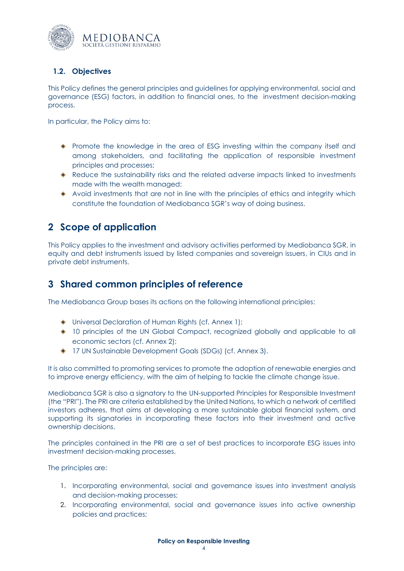

### <span id="page-3-0"></span>**1.2. Objectives**

This Policy defines the general principles and guidelines for applying environmental, social and governance (ESG) factors, in addition to financial ones, to the investment decision-making process.

In particular, the Policy aims to:

- Promote the knowledge in the area of ESG investing within the company itself and among stakeholders, and facilitating the application of responsible investment principles and processes;
- Reduce the sustainability risks and the related adverse impacts linked to investments made with the wealth managed;
- $\bullet$  Avoid investments that are not in line with the principles of ethics and integrity which constitute the foundation of Mediobanca SGR's way of doing business.

## <span id="page-3-1"></span>**2 Scope of application**

This Policy applies to the investment and advisory activities performed by Mediobanca SGR, in equity and debt instruments issued by listed companies and sovereign issuers, in CIUs and in private debt instruments.

## <span id="page-3-2"></span>**3 Shared common principles of reference**

The Mediobanca Group bases its actions on the following international principles:

- Universal Declaration of Human Rights (cf. Annex 1);
- 10 principles of the UN Global Compact, recognized globally and applicable to all economic sectors (cf. Annex 2);
- 17 UN Sustainable Development Goals (SDGs) (cf. Annex 3).

It is also committed to promoting services to promote the adoption of renewable energies and to improve energy efficiency, with the aim of helping to tackle the climate change issue.

Mediobanca SGR is also a signatory to the UN-supported Principles for Responsible Investment (the "PRI"). The PRI are criteria established by the United Nations, to which a network of certified investors adheres, that aims at developing a more sustainable global financial system, and supporting its signatories in incorporating these factors into their investment and active ownership decisions.

The principles contained in the PRI are a set of best practices to incorporate ESG issues into investment decision-making processes.

The principles are:

- 1. Incorporating environmental, social and governance issues into investment analysis and decision-making processes;
- 2. Incorporating environmental, social and governance issues into active ownership policies and practices;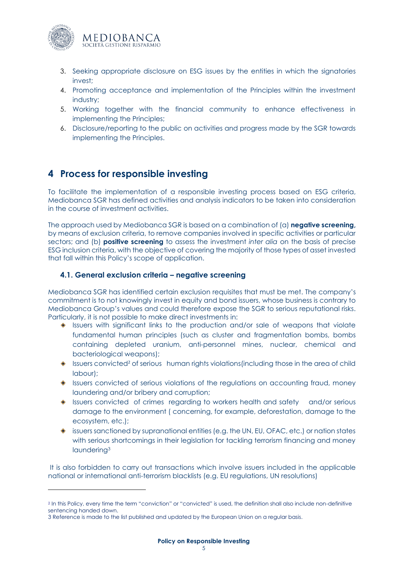

- 3. Seeking appropriate disclosure on ESG issues by the entities in which the signatories invest;
- 4. Promoting acceptance and implementation of the Principles within the investment industry;
- 5. Working together with the financial community to enhance effectiveness in implementing the Principles;
- 6. Disclosure/reporting to the public on activities and progress made by the SGR towards implementing the Principles.

## <span id="page-4-0"></span>**4 Process for responsible investing**

To facilitate the implementation of a responsible investing process based on ESG criteria, Mediobanca SGR has defined activities and analysis indicators to be taken into consideration in the course of investment activities.

The approach used by Mediobanca SGR is based on a combination of (a) **negative screening,** by means of exclusion criteria, to remove companies involved in specific activities or particular sectors; and (b) **positive screening** to assess the investment *inter alia* on the basis of precise ESG inclusion criteria, with the objective of covering the majority of those types of asset invested that fall within this Policy's scope of application.

#### <span id="page-4-1"></span>**4.1. General exclusion criteria – negative screening**

Mediobanca SGR has identified certain exclusion requisites that must be met. The company's commitment is to not knowingly invest in equity and bond issuers, whose business is contrary to Mediobanca Group's values and could therefore expose the SGR to serious reputational risks. Particularly, it is not possible to make direct investments in:

- $\bullet$  Issuers with significant links to the production and/or sale of weapons that violate fundamental human principles (such as cluster and fragmentation bombs, bombs containing depleted uranium, anti-personnel mines, nuclear, chemical and bacteriological weapons);
- ◆ Issuers convicted<sup>2</sup> of serious human rights violations(including those in the area of child labour);
- ♦ Issuers convicted of serious violations of the regulations on accounting fraud, money laundering and/or bribery and corruption;
- Issuers convicted of crimes regarding to workers health and safety and/or serious damage to the environment ( concerning, for example, deforestation, damage to the ecosystem, etc.);
- $\bullet$  issuers sanctioned by supranational entities (e.g. the UN, EU, OFAC, etc.) or nation states with serious shortcomings in their legislation for tackling terrorism financing and money laundering<sup>3</sup>

It is also forbidden to carry out transactions which involve issuers included in the applicable national or international anti-terrorism blacklists (e.g. EU regulations, UN resolutions)

<sup>&</sup>lt;sup>2</sup> In this Policy, every time the term "conviction" or "convicted" is used, the definition shall also include non-definitive sentencing handed down.

<sup>3</sup> Reference is made to the list published and updated by the European Union on a regular basis.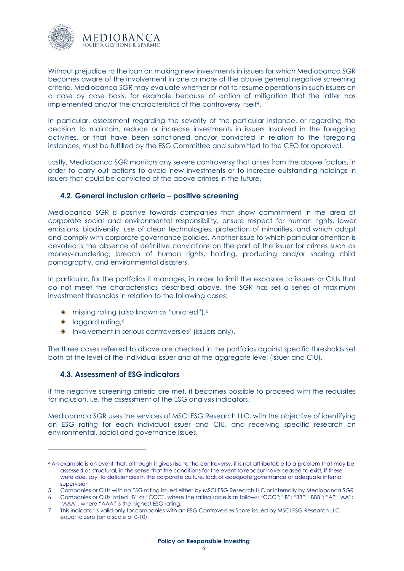

Without prejudice to the ban on making new investments in issuers for which Mediobanca SGR becomes aware of the involvement in one or more of the above general negative screening criteria, Mediobanca SGR may evaluate whether or not to resume operations in such issuers on a case by case basis, for example because of action of mitigation that the latter has implemented and/or the characteristics of the controversy itself 4.

In particular, assessment regarding the severity of the particular instance, or regarding the decision to maintain, reduce or increase investments in issuers involved in the foregoing activities, or that have been sanctioned and/or convicted in relation to the foregoing instances, must be fulfilled by the ESG Committee and submitted to the CEO for approval.

Lastly, Mediobanca SGR monitors any severe controversy that arises from the above factors, in order to carry out actions to avoid new investments or to increase outstanding holdings in issuers that could be convicted of the above crimes in the future.

#### <span id="page-5-0"></span>**4.2. General inclusion criteria – positive screening**

Mediobanca SGR is positive towards companies that show commitment in the area of corporate social and environmental responsibility, ensure respect for human rights, lower emissions, biodiversity, use of clean technologies, protection of minorities, and which adopt and comply with corporate governance policies. Another issue to which particular attention is devoted is the absence of definitive convictions on the part of the issuer for crimes such as money-laundering, breach of human rights, holding, producing and/or sharing child pornography, and environmental disasters.

In particular, for the portfolios it manages, in order to limit the exposure to issuers or CIUs that do not meet the characteristics described above, the SGR has set a series of maximum investment thresholds in relation to the following cases:

- missing rating (also known as "unrated"); 5
- laggard rating; 6
- Involvement in serious controversies <sup>7</sup> (issuers only).

<span id="page-5-1"></span>The three cases referred to above are checked in the portfolios against specific thresholds set both at the level of the individual issuer and at the aggregate level (issuer and CIU).

#### **4.3. Assessment of ESG indicators**

If the negative screening criteria are met, it becomes possible to proceed with the requisites for inclusion, i.e. the assessment of the ESG analysis indicators.

Mediobanca SGR uses the services of MSCI ESG Research LLC, with the objective of identifying an ESG rating for each individual issuer and CIU, and receiving specific research on environmental, social and governance issues.

<sup>4</sup> An example is an event that, although it gives rise to the controversy, it is not attributable to a problem that may be assessed as structural, in the sense that the conditions for the event to reoccur have ceased to exist, if these were due, say, to deficiencies in the corporate culture, lack of adequate governance or adequate internal supervision

<sup>5</sup> Companies or CIUs with no ESG rating issued either by MSCI ESG Research LLC or internally by Mediobanca SGR.

<sup>6</sup> Companies or CIUs rated "B" or "CCC", where the rating scale is as follows: "CCC"; "B"; "BB"; "BBB"; "A"; "AA"; "AAA", where "AAA" is the highest ESG rating.

<sup>7</sup> This indicator is valid only for companies with an ESG Controversies Score issued by MSCI ESG Research LLC equal to zero (on a scale of 0-10).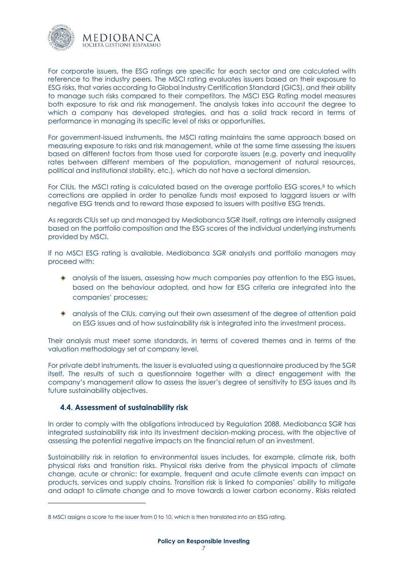

For corporate issuers, the ESG ratings are specific for each sector and are calculated with reference to the industry peers. The MSCI rating evaluates issuers based on their exposure to ESG risks, that varies according to Global Industry Certification Standard (GICS), and their ability to manage such risks compared to their competitors. The MSCI ESG Rating model measures both exposure to risk and risk management. The analysis takes into account the degree to which a company has developed strategies, and has a solid track record in terms of performance in managing its specific level of risks or opportunities.

For government-issued instruments, the MSCI rating maintains the same approach based on measuring exposure to risks and risk management, while at the same time assessing the issuers based on different factors from those used for corporate issuers (e.g. poverty and inequality rates between different members of the population, management of natural resources, political and institutional stability, etc.), which do not have a sectoral dimension.

For CIUs, the MSCI rating is calculated based on the average portfolio ESG scores,<sup>8</sup> to which corrections are applied in order to penalize funds most exposed to laggard issuers or with negative ESG trends and to reward those exposed to issuers with positive ESG trends.

As regards CIUs set up and managed by Mediobanca SGR itself, ratings are internally assigned based on the portfolio composition and the ESG scores of the individual underlying instruments provided by MSCI.

If no MSCI ESG rating is available, Mediobanca SGR analysts and portfolio managers may proceed with:

- analysis of the issuers, assessing how much companies pay attention to the ESG issues, based on the behaviour adopted, and how far ESG criteria are integrated into the companies' processes;
- analysis of the CIUs, carrying out their own assessment of the degree of attention paid on ESG issues and of how sustainability risk is integrated into the investment process.

Their analysis must meet some standards, in terms of covered themes and in terms of the valuation methodology set at company level.

For private debt instruments, the issuer is evaluated using a questionnaire produced by the SGR itself. The results of such a questionnaire together with a direct engagement with the company's management allow to assess the issuer's degree of sensitivity to ESG issues and its future sustainability objectives.

#### <span id="page-6-0"></span>**4.4. Assessment of sustainability risk**

In order to comply with the obligations introduced by Regulation 2088, Mediobanca SGR has integrated sustainability risk into its investment decision-making process, with the objective of assessing the potential negative impacts on the financial return of an investment.

Sustainability risk in relation to environmental issues includes, for example, climate risk, both physical risks and transition risks. Physical risks derive from the physical impacts of climate change, acute or chronic: for example, frequent and acute climate events can impact on products, services and supply chains. Transition risk is linked to companies' ability to mitigate and adapt to climate change and to move towards a lower carbon economy. Risks related

<sup>8</sup> MSCI assigns a score to the issuer from 0 to 10, which is then translated into an ESG rating.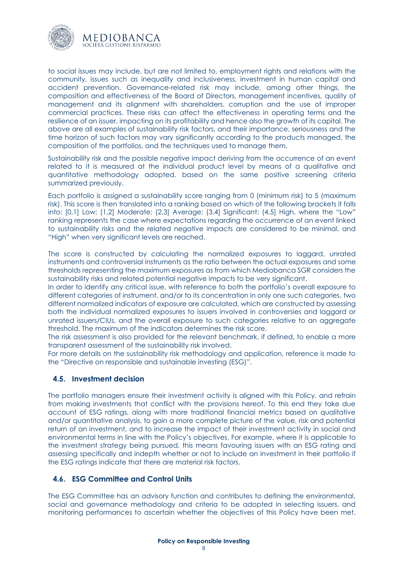

to social issues may include, but are not limited to, employment rights and relations with the community, issues such as inequality and inclusiveness, investment in human capital and accident prevention. Governance-related risk may include, among other things, the composition and effectiveness of the Board of Directors, management incentives, quality of management and its alignment with shareholders, corruption and the use of improper commercial practices. These risks can affect the effectiveness in operating terms and the resilience of an issuer, impacting on its profitability and hence also the growth of its capital. The above are all examples of sustainability risk factors, and their importance, seriousness and the time horizon of such factors may vary significantly according to the products managed, the composition of the portfolios, and the techniques used to manage them.

Sustainability risk and the possible negative impact deriving from the occurrence of an event related to it is measured at the individual product level by means of a qualitative and quantitative methodology adopted, based on the same positive screening criteria summarized previously.

Each portfolio is assigned a sustainability score ranging from 0 (minimum risk) to 5 (maximum risk). This score is then translated into a ranking based on which of the following brackets it falls into: [0,1] Low; (1,2] Moderate; (2,3] Average; (3,4] Significant; (4,5] High, where the "Low" ranking represents the case where expectations regarding the occurrence of an event linked to sustainability risks and the related negative impacts are considered to be minimal, and "High" when very significant levels are reached.

The score is constructed by calculating the normalized exposures to laggard, unrated instruments and controversial instruments as the ratio between the actual exposures and some thresholds representing the maximum exposures as from which Mediobanca SGR considers the sustainability risks and related potential negative impacts to be very significant.

In order to identify any critical issue, with reference to both the portfolio's overall exposure to different categories of instrument, and/or to its concentration in only one such categories, two different normalized indicators of exposure are calculated, which are constructed by assessing both the individual normalized exposures to issuers involved in controversies and laggard or unrated issuers/CIUs, and the overall exposure to such categories relative to an aggregate threshold. The maximum of the indicators determines the risk score.

The risk assessment is also provided for the relevant benchmark, if defined, to enable a more transparent assessment of the sustainability risk involved.

For more details on the sustainability risk methodology and application, reference is made to the "Directive on responsible and sustainable investing (ESG)".

#### <span id="page-7-0"></span>**4.5. Investment decision**

The portfolio managers ensure their investment activity is aligned with this Policy, and refrain from making investments that conflict with the provisions hereof. To this end they take due account of ESG ratings, along with more traditional financial metrics based on qualitative and/or quantitative analysis, to gain a more complete picture of the value, risk and potential return of an investment, and to increase the impact of their investment activity in social and environmental terms in line with the Policy's objectives. For example, where it is applicable to the investment strategy being pursued, this means favouring issuers with an ESG rating and assessing specifically and indepth whether or not to include an investment in their portfolio if the ESG ratings indicate that there are material risk factors.

#### <span id="page-7-1"></span>**4.6. ESG Committee and Control Units**

The ESG Committee has an advisory function and contributes to defining the environmental, social and governance methodology and criteria to be adopted in selecting issuers, and monitoring performances to ascertain whether the objectives of this Policy have been met.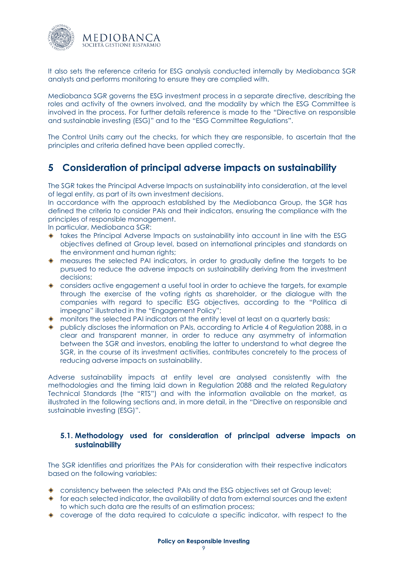

It also sets the reference criteria for ESG analysis conducted internally by Mediobanca SGR analysts and performs monitoring to ensure they are complied with.

Mediobanca SGR governs the ESG investment process in a separate directive, describing the roles and activity of the owners involved, and the modality by which the ESG Committee is involved in the process. For further details reference is made to the "Directive on responsible and sustainable investing (ESG)" and to the "ESG Committee Regulations".

The Control Units carry out the checks, for which they are responsible, to ascertain that the principles and criteria defined have been applied correctly.

## <span id="page-8-0"></span>**5 Consideration of principal adverse impacts on sustainability**

The SGR takes the Principal Adverse Impacts on sustainability into consideration, at the level of legal entity, as part of its own investment decisions.

In accordance with the approach established by the Mediobanca Group, the SGR has defined the criteria to consider PAIs and their indicators, ensuring the compliance with the principles of responsible management.

In particular, Mediobanca SGR:

- $\bullet$  takes the Principal Adverse Impacts on sustainability into account in line with the ESG objectives defined at Group level, based on international principles and standards on the environment and human rights;
- measures the selected PAI indicators, in order to gradually define the targets to be pursued to reduce the adverse impacts on sustainability deriving from the investment decisions;
- considers active engagement a useful tool in order to achieve the targets, for example through the exercise of the voting rights as shareholder, or the dialogue with the companies with regard to specific ESG objectives, according to the "Politica di impegno" illustrated in the "Engagement Policy";
- monitors the selected PAI indicators at the entity level at least on a quarterly basis;
- publicly discloses the information on PAIs, according to Article 4 of Regulation 2088, in a clear and transparent manner, in order to reduce any asymmetry of information between the SGR and investors, enabling the latter to understand to what degree the SGR, in the course of its investment activities, contributes concretely to the process of reducing adverse impacts on sustainability.

Adverse sustainability impacts at entity level are analysed consistently with the methodologies and the timing laid down in Regulation 2088 and the related Regulatory Technical Standards (the "RTS") and with the information available on the market, as illustrated in the following sections and, in more detail, in the "Directive on responsible and sustainable investing (ESG)".

#### <span id="page-8-1"></span>**5.1. Methodology used for consideration of principal adverse impacts on sustainability**

The SGR identifies and prioritizes the PAIs for consideration with their respective indicators based on the following variables:

- consistency between the selected PAIs and the ESG objectives set at Group level;
- $\bullet$  for each selected indicator, the availability of data from external sources and the extent to which such data are the results of an estimation process;
- coverage of the data required to calculate a specific indicator, with respect to the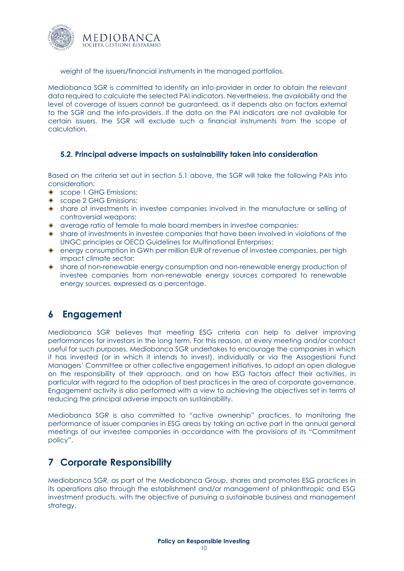

weight of the issuers/financial instruments in the managed portfolios.

Mediobanca SGR is committed to identify an info-provider in order to obtain the relevant data required to calculate the selected PAI indicators. Nevertheless, the availability and the level of coverage of issuers cannot be guaranteed, as it depends also on factors external to the SGR and the info-providers. If the data on the PAI indicators are not available for certain issuers, the SGR will exclude such a financial instruments from the scope of calculation.

#### <span id="page-9-0"></span>**5.2. Principal adverse impacts on sustainability taken into consideration**

Based on the criteria set out in section 5.1 above, the SGR will take the following PAIs into consideration:

- ◆ scope 1 GHG Emissions:
- ◆ scope 2 GHG Emissions;
- share of investments in investee companies involved in the manufacture or selling of controversial weapons;
- average ratio of female to male board members in investee companies;
- share of investments in investee companies that have been involved in violations of the UNGC principles or OECD Guidelines for Multinational Enterprises;
- energy consumption in GWh per million EUR of revenue of investee companies, per high impact climate sector;
- share of non-renewable energy consumption and non-renewable energy production of investee companies from non-renewable energy sources compared to renewable energy sources, expressed as a percentage.

## <span id="page-9-1"></span>**6 Engagement**

Mediobanca SGR believes that meeting ESG criteria can help to deliver improving performances for investors in the long term. For this reason, at every meeting and/or contact useful for such purposes, Mediobanca SGR undertakes to encourage the companies in which it has invested (or in which it intends to invest), individually or via the Assogestioni Fund Managers' Committee or other collective engagement initiatives, to adopt an open dialogue on the responsibility of their approach, and on how ESG factors affect their activities, in particular with regard to the adoption of best practices in the area of corporate governance. Engagement activity is also performed with a view to achieving the objectives set in terms of reducing the principal adverse impacts on sustainability.

Mediobanca SGR is also committed to "active ownership" practices, to monitoring the performance of issuer companies in ESG areas by taking an active part in the annual general meetings of our investee companies in accordance with the provisions of its "Commitment policy".

## <span id="page-9-2"></span>**7 Corporate Responsibility**

Mediobanca SGR, as part of the Mediobanca Group, shares and promotes ESG practices in its operations also through the establishment and/or management of philanthropic and ESG investment products, with the objective of pursuing a sustainable business and management strategy.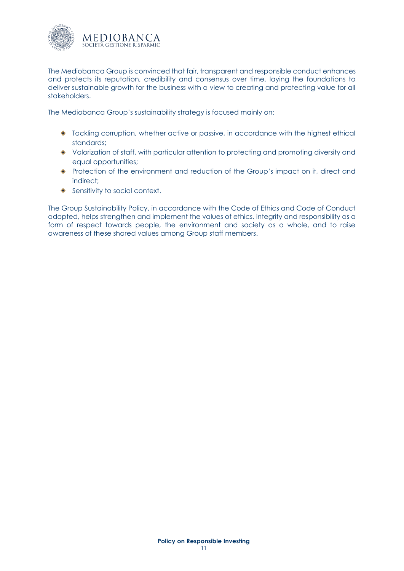

The Mediobanca Group is convinced that fair, transparent and responsible conduct enhances and protects its reputation, credibility and consensus over time, laying the foundations to deliver sustainable growth for the business with a view to creating and protecting value for all stakeholders.

The Mediobanca Group's sustainability strategy is focused mainly on:

- Tackling corruption, whether active or passive, in accordance with the highest ethical standards;
- Valorization of staff, with particular attention to protecting and promoting diversity and equal opportunities;
- Protection of the environment and reduction of the Group's impact on it, direct and indirect;
- ◆ Sensitivity to social context.

The Group Sustainability Policy, in accordance with the Code of Ethics and Code of Conduct adopted, helps strengthen and implement the values of ethics, integrity and responsibility as a form of respect towards people, the environment and society as a whole, and to raise awareness of these shared values among Group staff members.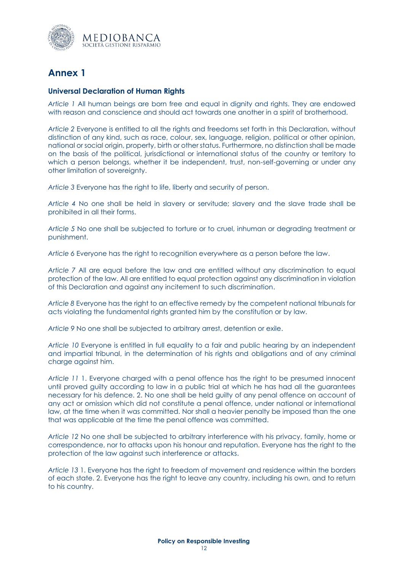

## <span id="page-11-0"></span>**Annex 1**

#### <span id="page-11-1"></span>**Universal Declaration of Human Rights**

*Article 1* All human beings are born free and equal in dignity and rights. They are endowed with reason and conscience and should act towards one another in a spirit of brotherhood.

*Article 2* Everyone is entitled to all the rights and freedoms set forth in this Declaration, without distinction of any kind, such as race, colour, sex, language, religion, political or other opinion, national or social origin, property, birth or other status. Furthermore, no distinction shall be made on the basis of the political, jurisdictional or international status of the country or territory to which a person belongs, whether it be independent, trust, non-self-governing or under any other limitation of sovereignty.

*Article 3* Everyone has the right to life, liberty and security of person.

*Article 4* No one shall be held in slavery or servitude; slavery and the slave trade shall be prohibited in all their forms.

*Article 5* No one shall be subjected to torture or to cruel, inhuman or degrading treatment or punishment.

*Article 6* Everyone has the right to recognition everywhere as a person before the law.

*Article 7* All are equal before the law and are entitled without any discrimination to equal protection of the law. All are entitled to equal protection against any discrimination in violation of this Declaration and against any incitement to such discrimination.

*Article 8* Everyone has the right to an effective remedy by the competent national tribunals for acts violating the fundamental rights granted him by the constitution or by law.

*Article 9* No one shall be subjected to arbitrary arrest, detention or exile.

*Article 10* Everyone is entitled in full equality to a fair and public hearing by an independent and impartial tribunal, in the determination of his rights and obligations and of any criminal charge against him.

*Article 11* 1. Everyone charged with a penal offence has the right to be presumed innocent until proved guilty according to law in a public trial at which he has had all the guarantees necessary for his defence. 2. No one shall be held guilty of any penal offence on account of any act or omission which did not constitute a penal offence, under national or international law, at the time when it was committed. Nor shall a heavier penalty be imposed than the one that was applicable at the time the penal offence was committed.

*Article 12* No one shall be subjected to arbitrary interference with his privacy, family, home or correspondence, nor to attacks upon his honour and reputation. Everyone has the right to the protection of the law against such interference or attacks.

*Article 13* 1. Everyone has the right to freedom of movement and residence within the borders of each state. 2. Everyone has the right to leave any country, including his own, and to return to his country.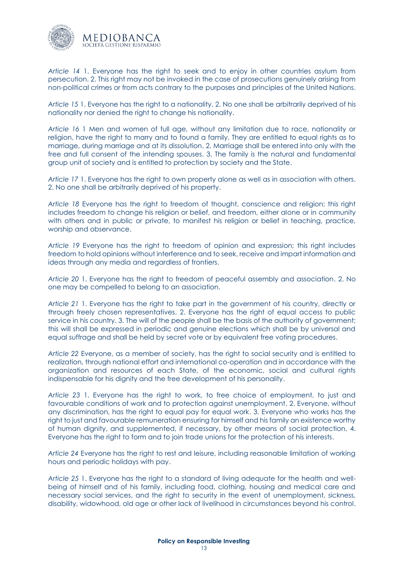

*Article 14* 1. Everyone has the right to seek and to enjoy in other countries asylum from persecution. 2. This right may not be invoked in the case of prosecutions genuinely arising from non-political crimes or from acts contrary to the purposes and principles of the United Nations.

*Article 15* 1. Everyone has the right to a nationality. 2. No one shall be arbitrarily deprived of his nationality nor denied the right to change his nationality.

*Article 16* 1 Men and women of full age, without any limitation due to race, nationality or religion, have the right to marry and to found a family. They are entitled to equal rights as to marriage, during marriage and at its dissolution. 2. Marriage shall be entered into only with the free and full consent of the intending spouses. 3. The family is the natural and fundamental group unit of society and is entitled to protection by society and the State.

*Article 17* 1. Everyone has the right to own property alone as well as in association with others. 2. No one shall be arbitrarily deprived of his property.

*Article 18* Everyone has the right to freedom of thought, conscience and religion; this right includes freedom to change his religion or belief, and freedom, either alone or in community with others and in public or private, to manifest his religion or belief in teaching, practice, worship and observance.

*Article 19* Everyone has the right to freedom of opinion and expression; this right includes freedom to hold opinions without interference and to seek, receive and impart information and ideas through any media and regardless of frontiers.

*Article 20* 1. Everyone has the right to freedom of peaceful assembly and association. 2. No one may be compelled to belong to an association.

*Article 21* 1. Everyone has the right to take part in the government of his country, directly or through freely chosen representatives. 2. Everyone has the right of equal access to public service in his country. 3. The will of the people shall be the basis of the authority of government; this will shall be expressed in periodic and genuine elections which shall be by universal and equal suffrage and shall be held by secret vote or by equivalent free voting procedures.

*Article 22* Everyone, as a member of society, has the right to social security and is entitled to realization, through national effort and international co-operation and in accordance with the organization and resources of each State, of the economic, social and cultural rights indispensable for his dignity and the free development of his personality.

*Article 23* 1. Everyone has the right to work, to free choice of employment, to just and favourable conditions of work and to protection against unemployment. 2. Everyone, without any discrimination, has the right to equal pay for equal work. 3. Everyone who works has the right to just and favourable remuneration ensuring for himself and his family an existence worthy of human dignity, and supplemented, if necessary, by other means of social protection. 4. Everyone has the right to form and to join trade unions for the protection of his interests.

*Article 24* Everyone has the right to rest and leisure, including reasonable limitation of working hours and periodic holidays with pay.

*Article 25* 1. Everyone has the right to a standard of living adequate for the health and wellbeing of himself and of his family, including food, clothing, housing and medical care and necessary social services, and the right to security in the event of unemployment, sickness, disability, widowhood, old age or other lack of livelihood in circumstances beyond his control.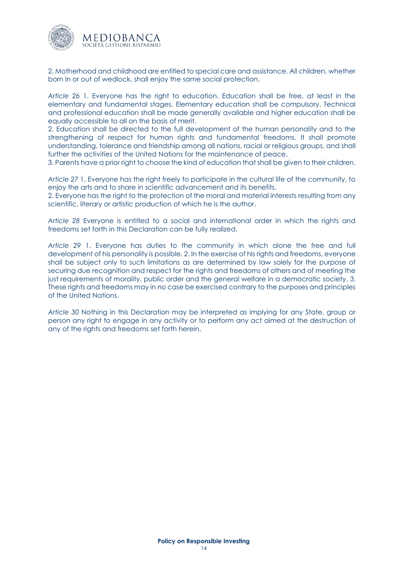

2. Motherhood and childhood are entitled to special care and assistance. All children, whether born in or out of wedlock, shall enjoy the same social protection.

*Article 26* 1. Everyone has the right to education. Education shall be free, at least in the elementary and fundamental stages. Elementary education shall be compulsory. Technical and professional education shall be made generally available and higher education shall be equally accessible to all on the basis of merit.

2. Education shall be directed to the full development of the human personality and to the strengthening of respect for human rights and fundamental freedoms. It shall promote understanding, tolerance and friendship among all nations, racial or religious groups, and shall further the activities of the United Nations for the maintenance of peace.

3. Parents have a prior right to choose the kind of education that shall be given to their children.

*Article 27* 1. Everyone has the right freely to participate in the cultural life of the community, to enjoy the arts and to share in scientific advancement and its benefits.

2. Everyone has the right to the protection of the moral and material interests resulting from any scientific, literary or artistic production of which he is the author.

*Article 28* Everyone is entitled to a social and international order in which the rights and freedoms set forth in this Declaration can be fully realized.

*Article 29* 1. Everyone has duties to the community in which alone the free and full development of his personality is possible. 2. In the exercise of his rights and freedoms, everyone shall be subject only to such limitations as are determined by law solely for the purpose of securing due recognition and respect for the rights and freedoms of others and of meeting the just requirements of morality, public order and the general welfare in a democratic society. 3. These rights and freedoms may in no case be exercised contrary to the purposes and principles of the United Nations.

*Article 30* Nothing in this Declaration may be interpreted as implying for any State, group or person any right to engage in any activity or to perform any act aimed at the destruction of any of the rights and freedoms set forth herein.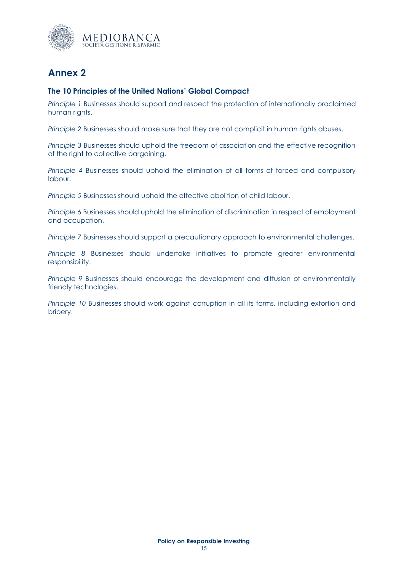

## <span id="page-14-0"></span>**Annex 2**

#### <span id="page-14-1"></span>**The 10 Principles of the United Nations' Global Compact**

*Principle 1* Businesses should support and respect the protection of internationally proclaimed human rights.

*Principle 2* Businesses should make sure that they are not complicit in human rights abuses.

*Principle 3* Businesses should uphold the freedom of association and the effective recognition of the right to collective bargaining.

*Principle 4* Businesses should uphold the elimination of all forms of forced and compulsory labour.

*Principle 5* Businesses should uphold the effective abolition of child labour.

*Principle 6* Businesses should uphold the elimination of discrimination in respect of employment and occupation.

*Principle 7* Businesses should support a precautionary approach to environmental challenges.

*Principle 8* Businesses should undertake initiatives to promote greater environmental responsibility.

*Principle 9* Businesses should encourage the development and diffusion of environmentally friendly technologies.

*Principle 10* Businesses should work against corruption in all its forms, including extortion and bribery.